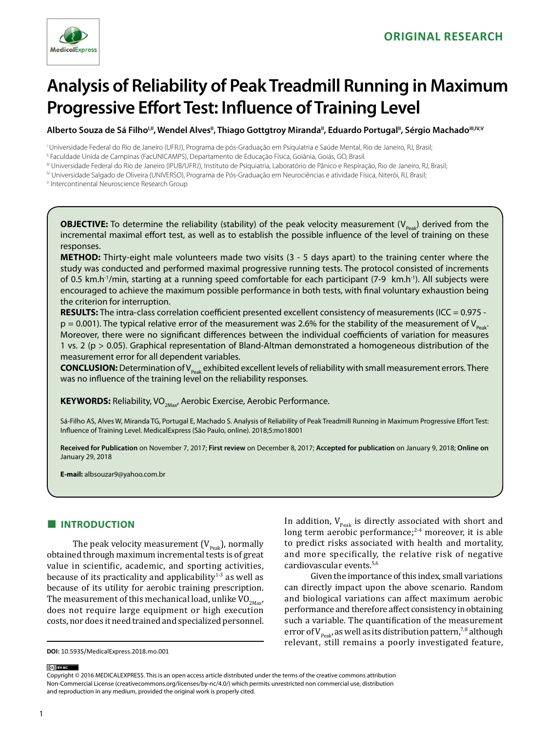

# **Analysis of Reliability of Peak Treadmill Running in Maximum Progressive Effort Test: Influence of Training Level**

Alberto Souza de Sá Filho<sup>I, II</sup>, Wendel Alves<sup>II</sup>, Thiago Gottgtroy Miranda<sup>II</sup>, Eduardo Portugal<sup>II</sup>, Sérgio Machado<sup>III, IV, V</sup>

I Universidade Federal do Rio de Janeiro (UFRJ), Programa de pós-Graduação em Psiquiatria e Saúde Mental, Rio de Janeiro, RJ, Brasil;

II Faculdade Unida de Campinas (FacUNICAMPS), Departamento de Educação Física, Goiânia, Goiás, GO, Brasil.

III Universidade Federal do Rio de Janeiro (IPUB/UFRJ), Instituto de Psiquiatria, Laboratório de Pânico e Respiração, Rio de Janeiro, RJ, Brasil;

IV Universidade Salgado de Oliveira (UNIVERSO), Programa de Pós-Graduação em Neurociências e atividade Física, Niterói, RJ, Brasil;

V Intercontinental Neuroscience Research Group

**OBJECTIVE:** To determine the reliability (stability) of the peak velocity measurement ( $V_{\text{peak}}$ ) derived from the incremental maximal effort test, as well as to establish the possible influence of the level of training on these responses.

**METHOD:** Thirty-eight male volunteers made two visits (3 - 5 days apart) to the training center where the study was conducted and performed maximal progressive running tests. The protocol consisted of increments of 0.5 km.h-1/min, starting at a running speed comfortable for each participant (7-9 km.h-1). All subjects were encouraged to achieve the maximum possible performance in both tests, with final voluntary exhaustion being the criterion for interruption.

**RESULTS:** The intra-class correlation coefficient presented excellent consistency of measurements (ICC = 0.975  $p = 0.001$ ). The typical relative error of the measurement was 2.6% for the stability of the measurement of  $V_{p_{\text{peak}}}$ . Moreover, there were no significant differences between the individual coefficients of variation for measures 1 vs. 2 (p > 0.05). Graphical representation of Bland-Altman demonstrated a homogeneous distribution of the measurement error for all dependent variables.

**CONCLUSION:** Determination of V<sub>Peak</sub> exhibited excellent levels of reliability with small measurement errors. There was no influence of the training level on the reliability responses.

**KEYWORDS:** Reliability, VO<sub>2Max</sub>, Aerobic Exercise, Aerobic Performance.

Sá-Filho AS, Alves W, Miranda TG, Portugal E, Machado S. Analysis of Reliability of Peak Treadmill Running in Maximum Progressive Effort Test: Influence of Training Level. MedicalExpress (São Paulo, online). 2018;5:mo18001

**Received for Publication** on November 7, 2017; **First review** on December 8, 2017; **Accepted for publication** on January 9, 2018; **Online on** January 29, 2018

**E-mail:** albsouzar9@yahoo.com.br

# **■ INTRODUCTION**

The peak velocity measurement  $(V_{\text{peak}})$ , normally obtained through maximum incremental tests is of great value in scientific, academic, and sporting activities, because of its practicality and applicability<sup>1-3</sup> as well as because of its utility for aerobic training prescription. The measurement of this mechanical load, unlike  $VO_{2May}$ does not require large equipment or high execution costs, nor does it need trained and specialized personnel.

In addition,  $V_{\text{Peak}}$  is directly associated with short and long term aerobic performance; $2-4$  moreover, it is able to predict risks associated with health and mortality, and more specifically, the relative risk of negative cardiovascular events.5,6

Given the importance of this index, small variations can directly impact upon the above scenario. Random and biological variations can affect maximum aerobic performance and therefore affect consistency in obtaining such a variable. The quantification of the measurement error of  $V_{p_{\text{e}}\text{e}}$  as well as its distribution pattern,<sup>7,8</sup> although relevant, still remains a poorly investigated feature,

(cc) BY-NC

Copyright © 2016 MEDICALEXPRESS. This is an open access article distributed under the terms of the creative commons attribution Non-Commercial License [\(creativecommons.org/licenses/by-nc/4.0/\)](http://creativecommons.org/licenses/by-nc/3.0/) which permits unrestricted non commercial use, distribution and reproduction in any medium, provided the original work is properly cited.

**DOI:** 10.5935/MedicalExpress.2018.mo.001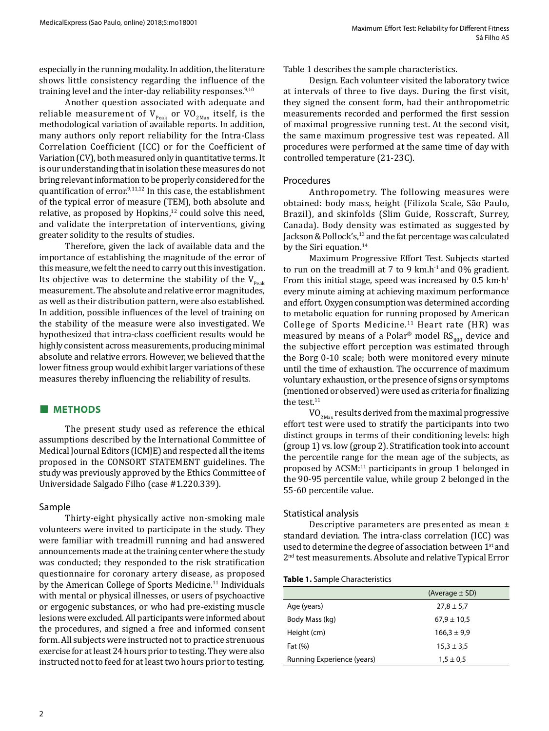especially in the running modality. In addition, the literature shows little consistency regarding the influence of the training level and the inter-day reliability responses.<sup>9,10</sup>

Another question associated with adequate and reliable measurement of  $V_{\text{peak}}$  or  $VO_{\text{2Max}}$  itself, is the methodological variation of available reports. In addition, many authors only report reliability for the Intra-Class Correlation Coefficient (ICC) or for the Coefficient of Variation (CV), both measured only in quantitative terms. It is our understanding that in isolation these measures do not bring relevant information to be properly considered for the quantification of error.9,11,12 In this case, the establishment of the typical error of measure (TEM), both absolute and relative, as proposed by Hopkins, $12$  could solve this need, and validate the interpretation of interventions, giving greater solidity to the results of studies.

Therefore, given the lack of available data and the importance of establishing the magnitude of the error of this measure, we felt the need to carry out this investigation. Its objective was to determine the stability of the  $V_{\text{peak}}$ measurement. The absolute and relative error magnitudes, as well as their distribution pattern, were also established. In addition, possible influences of the level of training on the stability of the measure were also investigated. We hypothesized that intra-class coefficient results would be highly consistent across measurements, producing minimal absolute and relative errors. However, we believed that the lower fitness group would exhibit larger variations of these measures thereby influencing the reliability of results.

# **■ METHODS**

The present study used as reference the ethical assumptions described by the International Committee of Medical Journal Editors (ICMJE) and respected all the items proposed in the CONSORT STATEMENT guidelines. The study was previously approved by the Ethics Committee of Universidade Salgado Filho (case #1.220.339).

# Sample

Thirty-eight physically active non-smoking male volunteers were invited to participate in the study. They were familiar with treadmill running and had answered announcements made at the training center where the study was conducted; they responded to the risk stratification questionnaire for coronary artery disease, as proposed by the American College of Sports Medicine.<sup>11</sup> Individuals with mental or physical illnesses, or users of psychoactive or ergogenic substances, or who had pre-existing muscle lesions were excluded. All participants were informed about the procedures, and signed a free and informed consent form. All subjects were instructed not to practice strenuous exercise for at least 24 hours prior to testing. They were also instructed not to feed for at least two hours prior to testing.

Design*.* Each volunteer visited the laboratory twice at intervals of three to five days. During the first visit, they signed the consent form, had their anthropometric measurements recorded and performed the first session of maximal progressive running test. At the second visit, the same maximum progressive test was repeated. All procedures were performed at the same time of day with controlled temperature (21-23C).

## Procedures

Anthropometry. The following measures were obtained: body mass, height (Filizola Scale, São Paulo, Brazil), and skinfolds (Slim Guide, Rosscraft, Surrey, Canada). Body density was estimated as suggested by Jackson & Pollock's,<sup>13</sup> and the fat percentage was calculated by the Siri equation.<sup>14</sup>

Maximum Progressive Effort Test*.* Subjects started to run on the treadmill at 7 to 9 km.h<sup>-1</sup> and 0% gradient. From this initial stage, speed was increased by  $0.5 \text{ km} \cdot \text{h}^1$ every minute aiming at achieving maximum performance and effort. Oxygen consumption was determined according to metabolic equation for running proposed by American College of Sports Medicine.<sup>11</sup> Heart rate (HR) was measured by means of a Polar<sup>®</sup> model  $\text{RS}_{800}$  device and the subjective effort perception was estimated through the Borg 0-10 scale; both were monitored every minute until the time of exhaustion. The occurrence of maximum voluntary exhaustion, or the presence of signs or symptoms (mentioned or observed) were used as criteria for finalizing the test.<sup>11</sup>

 $VO<sub>2Max</sub>$  results derived from the maximal progressive effort test were used to stratify the participants into two distinct groups in terms of their conditioning levels: high (group 1) vs. low (group 2). Stratification took into account the percentile range for the mean age of the subjects, as proposed by ACSM:11 participants in group 1 belonged in the 90-95 percentile value, while group 2 belonged in the 55-60 percentile value.

# Statistical analysis

Descriptive parameters are presented as mean ± standard deviation. The intra-class correlation (ICC) was used to determine the degree of association between 1<sup>st</sup> and 2nd test measurements. Absolute and relative Typical Error

#### **Table 1.** Sample Characteristics

|                            | (Average $\pm$ SD) |  |
|----------------------------|--------------------|--|
| Age (years)                | $27,8 \pm 5,7$     |  |
| Body Mass (kg)             | $67.9 \pm 10.5$    |  |
| Height (cm)                | $166,3 \pm 9,9$    |  |
| Fat (%)                    | $15,3 \pm 3,5$     |  |
| Running Experience (years) | $1,5 \pm 0.5$      |  |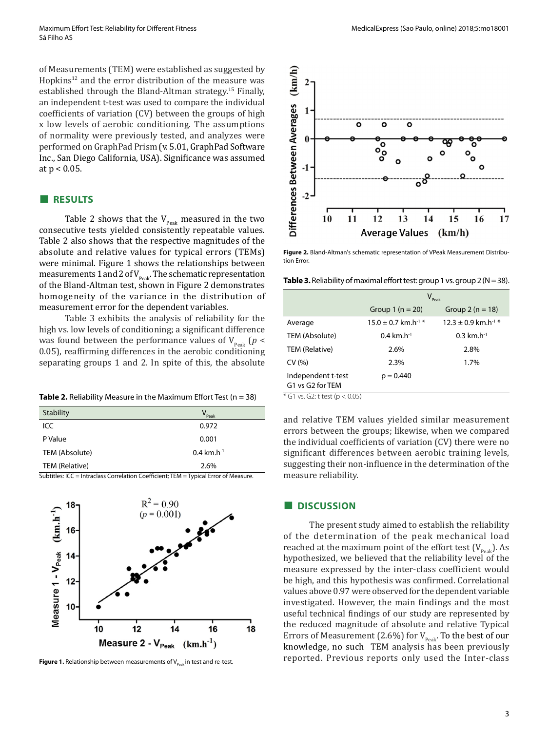of Measurements (TEM) were established as suggested by Hopkins<sup>12</sup> and the error distribution of the measure was established through the Bland-Altman strategy. <sup>15</sup> Finally, an independent t-test was used to compare the individual coefficients of variation (CV) between the groups of high x low levels of aerobic conditioning. The assumptions of normality were previously tested, and analyzes were performed on GraphPad Prism (v. 5.01, GraphPad Software Inc., San Diego California, USA). Significance was assumed at p < 0.05.

#### **■ RESULTS**

Table 2 shows that the  $V_{\text{peak}}$  measured in the two consecutive tests yielded consistently repeatable values. Table 2 also shows that the respective magnitudes of the absolute and relative values for typical errors (TEMs) were minimal. Figure 1 shows the relationships between measurements 1 and 2 of  $V_{\text{peak}}$ . The schematic representation of the Bland-Altman test, shown in Figure 2 demonstrates homogeneity of the variance in the distribution of measurement error for the dependent variables.

Table 3 exhibits the analysis of reliability for the high vs. low levels of conditioning; a significant difference was found between the performance values of  $V_{\text{peak}}$  ( $p <$ 0.05), reaffirming differences in the aerobic conditioning separating groups 1 and 2. In spite of this, the absolute

**Table 2.** Reliability Measure in the Maximum Effort Test (n = 38)

| Stability      | $V_{\text{Peak}}$                    |
|----------------|--------------------------------------|
| ICC            | 0.972                                |
| P Value        | 0.001                                |
| TEM (Absolute) | $0.4 \text{ km} \cdot \text{h}^{-1}$ |
| TEM (Relative) | 2.6%                                 |

Subtitles: ICC = Intraclass Correlation Coefficient; TEM = Typical Error of Measure.



**Figure 1.** Relationship between measurements of  $V_{\text{post}}$  in test and re-test.



**Figure 2.** Bland-Altman's schematic representation of VPeak Measurement Distribution Error.

Table 3. Reliability of maximal effort test: group 1 vs. group 2 (N = 38).

|                                        | $V_{\text{Peak}}$                    |                                     |
|----------------------------------------|--------------------------------------|-------------------------------------|
|                                        | Group 1 ( $n = 20$ )                 | Group $2(n = 18)$                   |
| Average                                | $15.0 \pm 0.7$ km.h <sup>-1 *</sup>  | $12.3 \pm 0.9$ km.h <sup>-1 *</sup> |
| TEM (Absolute)                         | $0.4 \text{ km} \cdot \text{h}^{-1}$ | $0.3$ km.h <sup>-1</sup>            |
| TEM (Relative)                         | 2.6%                                 | 2.8%                                |
| CV(% )                                 | 2.3%                                 | 1.7%                                |
| Independent t-test<br>G1 vs G2 for TEM | $p = 0.440$                          |                                     |

\* G1 vs. G2: t test (p < 0.05)

and relative TEM values yielded similar measurement errors between the groups; likewise, when we compared the individual coefficients of variation (CV) there were no significant differences between aerobic training levels, suggesting their non-influence in the determination of the measure reliability.

#### **■ DISCUSSION**

The present study aimed to establish the reliability of the determination of the peak mechanical load reached at the maximum point of the effort test  $(V_{\text{peak}})$ . As hypothesized, we believed that the reliability level of the measure expressed by the inter-class coefficient would be high, and this hypothesis was confirmed. Correlational values above 0.97 were observed for the dependent variable investigated. However, the main findings and the most useful technical findings of our study are represented by the reduced magnitude of absolute and relative Typical Errors of Measurement (2.6%) for  $V_{\text{peak}}$ . To the best of our knowledge, no such TEM analysis has been previously reported. Previous reports only used the Inter-class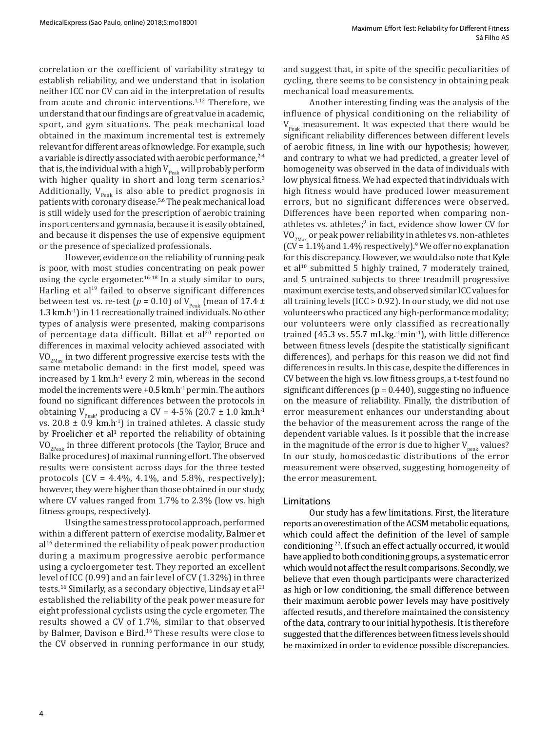correlation or the coefficient of variability strategy to establish reliability, and we understand that in isolation neither ICC nor CV can aid in the interpretation of results from acute and chronic interventions.<sup>1,12</sup> Therefore, we understand that our findings are of great value in academic, sport, and gym situations. The peak mechanical load obtained in the maximum incremental test is extremely relevant for different areas of knowledge. For example, such a variable is directly associated with aerobic performance, 2-4 that is, the individual with a high  $V_{p_{\text{peak}}}$  will probably perform with higher quality in short and long term scenarios.<sup>3</sup> Additionally,  $V_{\text{peak}}$  is also able to predict prognosis in patients with coronary disease.5,6 The peak mechanical load is still widely used for the prescription of aerobic training in sport centers and gymnasia, because it is easily obtained, and because it dispenses the use of expensive equipment or the presence of specialized professionals.

However, evidence on the reliability of running peak is poor, with most studies concentrating on peak power using the cycle ergometer.<sup>16-18</sup> In a study similar to ours, Harling et al<sup>19</sup> failed to observe significant differences between test vs. re-test ( $p = 0.10$ ) of V<sub>Peak</sub> (mean of 17.4 ± 1.3 km.h-1) in 11 recreationally trained individuals. No other types of analysis were presented, making comparisons of percentage data difficult. Billat et al<sup>20</sup> reported on differences in maximal velocity achieved associated with  $VO<sub>2Max</sub>$  in two different progressive exercise tests with the same metabolic demand: in the first model, speed was increased by 1 km.h<sup>-1</sup> every 2 min, whereas in the second model the increments were  $+0.5$  km.h<sup>-1</sup> per min. The authors found no significant differences between the protocols in obtaining  $V_{p_{\text{peak}}}$ , producing a CV = 4-5% (20.7 ± 1.0 km.h<sup>-1</sup> vs.  $20.8 \pm 0.9$  km.h<sup>-1</sup>) in trained athletes. A classic study by Froelicher et al<sup>1</sup> reported the reliability of obtaining  $VO_{2Pek}$  in three different protocols (the Taylor, Bruce and Balke procedures) of maximal running effort. The observed results were consistent across days for the three tested protocols  $(CV = 4.4\%, 4.1\%, \text{ and } 5.8\%, \text{ respectively})$ ; however, they were higher than those obtained in our study, where CV values ranged from 1.7% to 2.3% (low vs. high fitness groups, respectively).

Using the same stress protocol approach, performed within a different pattern of exercise modality, Balmer et al<sup>16</sup> determined the reliability of peak power production during a maximum progressive aerobic performance using a cycloergometer test. They reported an excellent level of ICC (0.99) and an fair level of CV (1.32%) in three tests.<sup>16</sup> Similarly, as a secondary objective, Lindsay et al $^{21}$ established the reliability of the peak power measure for eight professional cyclists using the cycle ergometer. The results showed a CV of 1.7%, similar to that observed by Balmer, Davison e Bird.<sup>16</sup> These results were close to the CV observed in running performance in our study, and suggest that, in spite of the specific peculiarities of cycling, there seems to be consistency in obtaining peak mechanical load measurements.

Another interesting finding was the analysis of the influence of physical conditioning on the reliability of  $V_{\text{peak}}$  measurement. It was expected that there would be significant reliability differences between different levels of aerobic fitness, in line with our hypothesis; however, and contrary to what we had predicted, a greater level of homogeneity was observed in the data of individuals with low physical fitness. We had expected that individuals with high fitness would have produced lower measurement errors, but no significant differences were observed. Differences have been reported when comparing nonathletes vs. athletes;<sup>9</sup> in fact, evidence show lower CV for  $VO_{2Max}$  or peak power reliability in athletes vs. non-athletes  $(CV = 1.1\%$  and 1.4% respectively).<sup>9</sup> We offer no explanation for this discrepancy. However, we would also note that Kyle et al<sup>10</sup> submitted 5 highly trained, 7 moderately trained, and 5 untrained subjects to three treadmill progressive maximum exercise tests, and observed similar ICC values for all training levels (ICC > 0.92). In our study, we did not use volunteers who practiced any high-performance modality; our volunteers were only classified as recreationally trained (45.3 vs. 55.7 mL.kg. $-1$ min $-1$ ), with little difference between fitness levels (despite the statistically significant differences), and perhaps for this reason we did not find differences in results. In this case, despite the differences in CV between the high vs. low fitness groups, a t-test found no significant differences ( $p = 0.440$ ), suggesting no influence on the measure of reliability. Finally, the distribution of error measurement enhances our understanding about the behavior of the measurement across the range of the dependent variable values. Is it possible that the increase in the magnitude of the error is due to higher  $V_{peak}$  values? In our study, homoscedastic distributions of the error measurement were observed, suggesting homogeneity of the error measurement.

#### Limitations

Our study has a few limitations. First, the literature reports an overestimation of the ACSM metabolic equations, which could affect the definition of the level of sample conditioning 22. If such an effect actually occurred, it would have applied to both conditioning groups, a systematic error which would not affect the result comparisons. Secondly, we believe that even though participants were characterized as high or low conditioning, the small difference between their maximum aerobic power levels may have positively affected resutls, and therefore maintained the consistency of the data, contrary to our initial hypothesis. It is therefore suggested that the differences between fitness levels should be maximized in order to evidence possible discrepancies.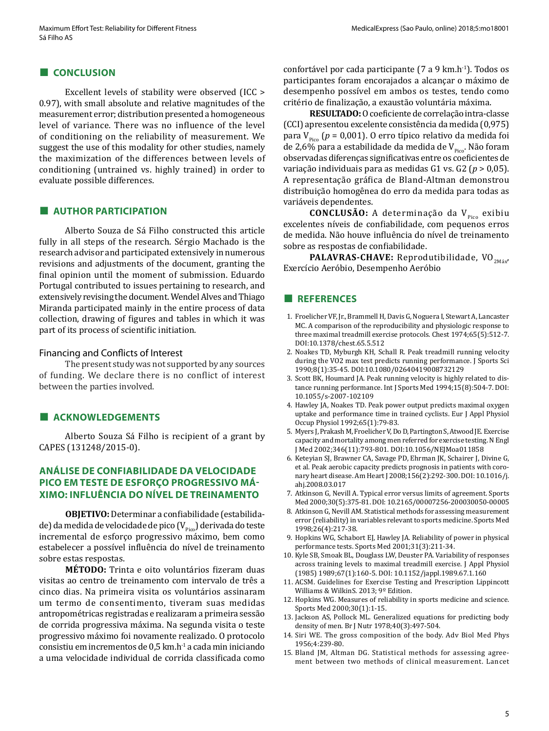### **■ CONCLUSION**

Excellent levels of stability were observed (ICC > 0.97), with small absolute and relative magnitudes of the measurement error; distribution presented a homogeneous level of variance. There was no influence of the level of conditioning on the reliability of measurement. We suggest the use of this modality for other studies, namely the maximization of the differences between levels of conditioning (untrained vs. highly trained) in order to evaluate possible differences.

#### **■ AUTHOR PARTICIPATION**

Alberto Souza de Sá Filho constructed this article fully in all steps of the research. Sérgio Machado is the research advisor and participated extensively in numerous revisions and adjustments of the document, granting the final opinion until the moment of submission. Eduardo Portugal contributed to issues pertaining to research, and extensively revising the document. Wendel Alves and Thiago Miranda participated mainly in the entire process of data collection, drawing of figures and tables in which it was part of its process of scientific initiation.

#### Financing and Conflicts of Interest

The present study was not supported by any sources of funding. We declare there is no conflict of interest between the parties involved.

## **■ ACKNOWLEDGEMENTS**

Alberto Souza Sá Filho is recipient of a grant by CAPES (131248/2015-0).

# **ANÁLISE DE CONFIABILIDADE DA VELOCIDADE PICO EM TESTE DE ESFORÇO PROGRESSIVO MÁ-XIMO: INFLUÊNCIA DO NÍVEL DE TREINAMENTO**

**OBJETIVO:** Determinar a confiabilidade (estabilidade) da medida de velocidade de pico ( $V_{p_{\text{ico}}}$ ) derivada do teste incremental de esforço progressivo máximo, bem como estabelecer a possível influência do nível de treinamento sobre estas respostas.

**MÉTODO:** Trinta e oito voluntários fizeram duas visitas ao centro de treinamento com intervalo de três a cinco dias. Na primeira visita os voluntários assinaram um termo de consentimento, tiveram suas medidas antropométricas registradas e realizaram a primeira sessão de corrida progressiva máxima. Na segunda visita o teste progressivo máximo foi novamente realizado. O protocolo consistiu em incrementos de 0,5 km.h-1 a cada min iniciando a uma velocidade individual de corrida classificada como confortável por cada participante (7 a 9 km.h-1). Todos os participantes foram encorajados a alcançar o máximo de desempenho possível em ambos os testes, tendo como critério de finalização, a exaustão voluntária máxima.

**RESULTADO:** O coeficiente de correlação intra-classe (CCI) apresentou excelente consistência da medida (0,975) para  $V_{\text{p}_{\text{free}}}$  ( $p = 0.001$ ). O erro típico relativo da medida foi de 2,6% para a estabilidade da medida de  $V_{p_{\text{free}}}$ . Não foram observadas diferenças significativas entre os coeficientes de variação individuais para as medidas G1 vs. G2 (*p* > 0,05). A representação gráfica de Bland-Altman demonstrou distribuição homogênea do erro da medida para todas as variáveis dependentes.

**CONCLUSÃO:** A determinação da V<sub>pico</sub> exibiu excelentes níveis de confiabilidade, com pequenos erros de medida. Não houve influência do nível de treinamento sobre as respostas de confiabilidade.

PALAVRAS-CHAVE: Reprodutibilidade, VO<sub>2Máx</sub>, Exercício Aeróbio, Desempenho Aeróbio

#### **■ REFERENCES**

- 1. Froelicher VF, Jr., Brammell H, Davis G, Noguera I, Stewart A, Lancaster MC. A comparison of the reproducibility and physiologic response to three maximal treadmill exercise protocols. Chest 1974;65(5):512-7. DOI:10.1378/chest.65.5.512
- 2. Noakes TD, Myburgh KH, Schall R. Peak treadmill running velocity during the VO2 max test predicts running performance. J Sports Sci 1990;8(1):35-45. DOI:10.1080/02640419008732129
- 3. Scott BK, Houmard JA. Peak running velocity is highly related to distance running performance. Int J Sports Med 1994;15(8):504-7. DOI: 10.1055/s-2007-102109
- 4. Hawley JA, Noakes TD. Peak power output predicts maximal oxygen uptake and performance time in trained cyclists. Eur J Appl Physiol Occup Physiol 1992;65(1):79-83.
- 5. Myers J, Prakash M, Froelicher V, Do D, Partington S, Atwood JE. Exercise capacity and mortality among men referred for exercise testing. N Engl J Med 2002;346(11):793-801. DOI:10.1056/NEJMoa011858
- 6. Keteyian SJ, Brawner CA, Savage PD, Ehrman JK, Schairer J, Divine G, et al. Peak aerobic capacity predicts prognosis in patients with coronary heart disease. Am Heart J 2008;156(2):292-300. DOI: 10.1016/j. ahj.2008.03.017
- 7. Atkinson G, Nevill A. Typical error versus limits of agreement. Sports Med 2000;30(5):375-81. DOI: 10.2165/00007256-200030050-00005
- 8. Atkinson G, Nevill AM. Statistical methods for assessing measurement error (reliability) in variables relevant to sports medicine. Sports Med 1998;26(4):217-38.
- 9. Hopkins WG, Schabort EJ, Hawley JA. Reliability of power in physical performance tests. Sports Med 2001;31(3):211-34.
- 10. Kyle SB, Smoak BL, Douglass LW, Deuster PA. Variability of responses across training levels to maximal treadmill exercise. J Appl Physiol (1985) 1989;67(1):160-5. DOI: 10.1152/jappl.1989.67.1.160
- 11. ACSM. Guidelines for Exercise Testing and Prescription Lippincott Williams & WilkinS. 2013; 9º Edition.
- 12. Hopkins WG. Measures of reliability in sports medicine and science. Sports Med 2000;30(1):1-15.
- 13. Jackson AS, Pollock ML. Generalized equations for predicting body density of men. Br J Nutr 1978;40(3):497-504.
- 14. Siri WE. The gross composition of the body. Adv Biol Med Phys 1956;4:239-80.
- 15. Bland JM, Altman DG. Statistical methods for assessing agreement between two methods of clinical measurement. Lancet